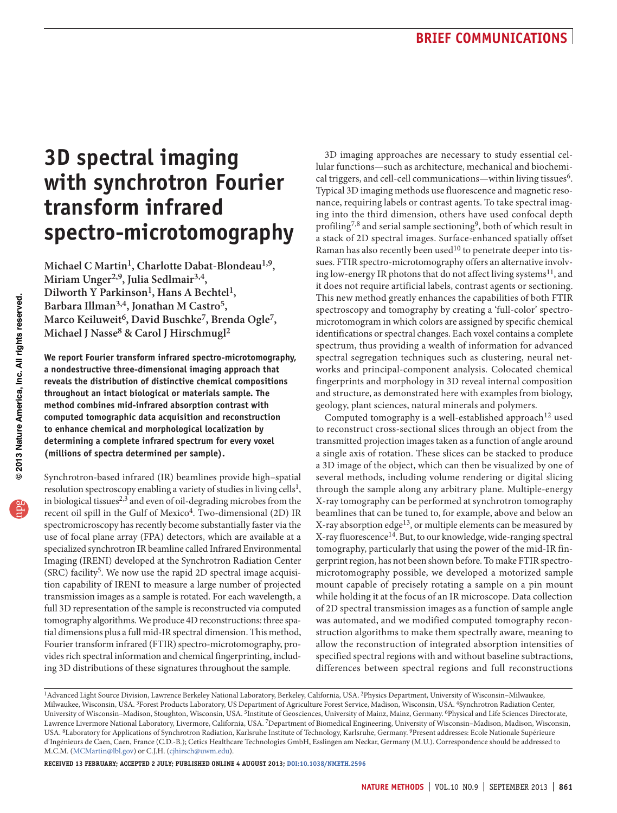# **3D spectral imaging with synchrotron Fourier transform infrared spectro-microtomography**

**Michael C Martin1, Charlotte Dabat-Blondeau1,9, Miriam Unger2,9, Julia Sedlmair3,4, Dilworth Y Parkinson1, Hans A Bechtel1, Barbara Illman3,4, Jonathan M Castro5,**  Marco Keiluweit<sup>6</sup>, David Buschke<sup>7</sup>, Brenda Ogle<sup>7</sup>, **Michael J Nasse8 & Carol J Hirschmugl2**

**We report Fourier transform infrared spectro-microtomography, a nondestructive three-dimensional imaging approach that reveals the distribution of distinctive chemical compositions throughout an intact biological or materials sample. The method combines mid-infrared absorption contrast with computed tomographic data acquisition and reconstruction to enhance chemical and morphological localization by determining a complete infrared spectrum for every voxel (millions of spectra determined per sample).**

Synchrotron-based infrared (IR) beamlines provide high–spatial resolution spectroscopy enabling a variety of studies in living cells<sup>1</sup>, in biological tissues<sup>[2,](#page-3-10)[3](#page-3-11)</sup> and even of oil-degrading microbes from the recent oil spill in the Gulf of Mexico<sup>4</sup>. Two-dimensional (2D) IR spectromicroscopy has recently become substantially faster via the use of focal plane array (FPA) detectors, which are available at a specialized synchrotron IR beamline called Infrared Environmental Imaging (IRENI) developed at the Synchrotron Radiation Center (SRC) facility<sup>5</sup>. We now use the rapid 2D spectral image acquisition capability of IRENI to measure a large number of projected transmission images as a sample is rotated. For each wavelength, a full 3D representation of the sample is reconstructed via computed tomography algorithms. We produce 4D reconstructions: three spatial dimensions plus a full mid-IR spectral dimension. This method, Fourier transform infrared (FTIR) spectro-microtomography, provides rich spectral information and chemical fingerprinting, including 3D distributions of these signatures throughout the sample.

3D imaging approaches are necessary to study essential cellular functions—such as architecture, mechanical and biochemi-cal triggers, and cell-cell communications—within living tissues<sup>[6](#page-3-0)</sup>. Typical 3D imaging methods use fluorescence and magnetic resonance, requiring labels or contrast agents. To take spectral imaging into the third dimension, others have used confocal depth profiling<sup>[7,](#page-3-1)8</sup> and serial sample sectioning<sup>9</sup>, both of which result in a stack of 2D spectral images. Surface-enhanced spatially offset Raman has also recently been used $10$  to penetrate deeper into tissues. FTIR spectro-microtomography offers an alternative involving low-energy IR photons that do not affect living systems<sup>11</sup>, and it does not require artificial labels, contrast agents or sectioning. This new method greatly enhances the capabilities of both FTIR spectroscopy and tomography by creating a 'full-color' spectromicrotomogram in which colors are assigned by specific chemical identifications or spectral changes. Each voxel contains a complete spectrum, thus providing a wealth of information for advanced spectral segregation techniques such as clustering, neural networks and principal-component analysis. Colocated chemical fingerprints and morphology in 3D reveal internal composition and structure, as demonstrated here with examples from biology, geology, plant sciences, natural minerals and polymers.

Computed tomography is a well-established approach<sup>12</sup> used to reconstruct cross-sectional slices through an object from the transmitted projection images taken as a function of angle around a single axis of rotation. These slices can be stacked to produce a 3D image of the object, which can then be visualized by one of several methods, including volume rendering or digital slicing through the sample along any arbitrary plane. Multiple-energy X-ray tomography can be performed at synchrotron tomography beamlines that can be tuned to, for example, above and below an X-ray absorption edge[13,](#page-3-7) or multiple elements can be measured by X-ray fluorescence[14.](#page-3-8) But, to our knowledge, wide-ranging spectral tomography, particularly that using the power of the mid-IR fingerprint region, has not been shown before. To make FTIR spectromicrotomography possible, we developed a motorized sample mount capable of precisely rotating a sample on a pin mount while holding it at the focus of an IR microscope. Data collection of 2D spectral transmission images as a function of sample angle was automated, and we modified computed tomography reconstruction algorithms to make them spectrally aware, meaning to allow the reconstruction of integrated absorption intensities of specified spectral regions with and without baseline subtractions, differences between spectral regions and full reconstructions

**Received 13 February; accepted 2 July; published online 4 august 2013; [doi:10.1038/nmeth.2596](http://www.nature.com/doifinder/10.1038/nmeth.2596)**

<sup>1</sup>Advanced Light Source Division, Lawrence Berkeley National Laboratory, Berkeley, California, USA. 2Physics Department, University of Wisconsin–Milwaukee, Milwaukee, Wisconsin, USA. 3Forest Products Laboratory, US Department of Agriculture Forest Service, Madison, Wisconsin, USA. 4Synchrotron Radiation Center, University of Wisconsin–Madison, Stoughton, Wisconsin, USA. 5Institute of Geosciences, University of Mainz, Mainz, Germany. 6Physical and Life Sciences Directorate, Lawrence Livermore National Laboratory, Livermore, California, USA. 7Department of Biomedical Engineering, University of Wisconsin–Madison, Madison, Wisconsin, USA. 8Laboratory for Applications of Synchrotron Radiation, Karlsruhe Institute of Technology, Karlsruhe, Germany. 9Present addresses: Ecole Nationale Supérieure d'Ingénieurs de Caen, Caen, France (C.D.-B.); Cetics Healthcare Technologies GmbH, Esslingen am Neckar, Germany (M.U.). Correspondence should be addressed to M.C.M. (MCMartin@lbl.gov) or C.J.H. (cjhirsch@uwm.edu).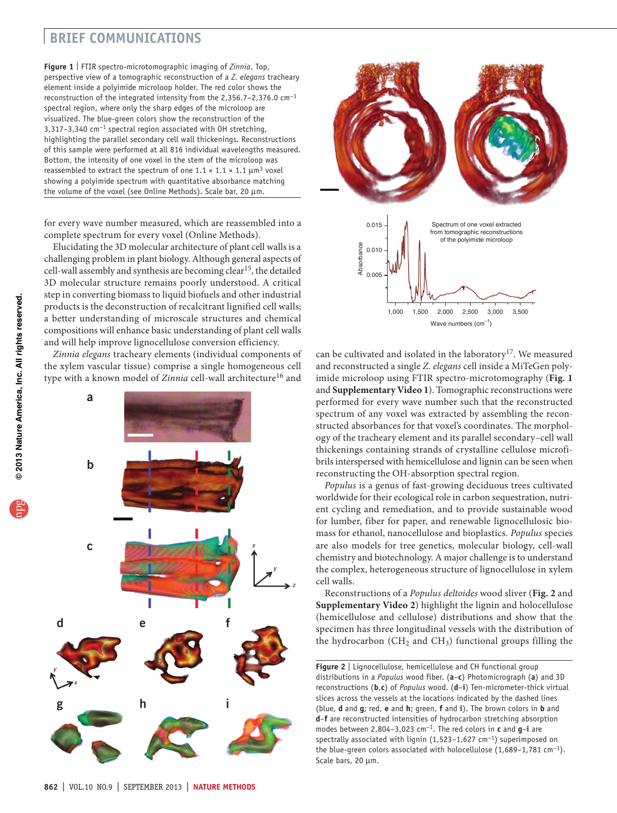## **brief communications**

<span id="page-1-0"></span>**Figure 1** | FTIR spectro-microtomographic imaging of *Zinnia*. Top, perspective view of a tomographic reconstruction of a *Z. elegans* tracheary element inside a polyimide microloop holder. The red color shows the reconstruction of the integrated intensity from the 2,356.7–2,376.0 cm−1 spectral region, where only the sharp edges of the microloop are visualized. The blue-green colors show the reconstruction of the 3,317–3,340 cm<sup>-1</sup> spectral region associated with OH stretching, highlighting the parallel secondary cell wall thickenings. Reconstructions of this sample were performed at all 816 individual wavelengths measured. Bottom, the intensity of one voxel in the stem of the microloop was reassembled to extract the spectrum of one  $1.1 \times 1.1 \times 1.1 \mu m^3$  voxel showing a polyimide spectrum with quantitative absorbance matching the volume of the voxel (see Online Methods). Scale bar, 20 µm.

for every wave number measured, which are reassembled into a complete spectrum for every voxel (Online Methods).

Elucidating the 3D molecular architecture of plant cell walls is a challenging problem in plant biology. Although general aspects of cell-wall assembly and synthesis are becoming clear<sup>15</sup>, the detailed 3D molecular structure remains poorly understood. A critical step in converting biomass to liquid biofuels and other industrial products is the deconstruction of recalcitrant lignified cell walls; a better understanding of microscale structures and chemical compositions will enhance basic understanding of plant cell walls and will help improve lignocellulose conversion efficiency.

*Zinnia elegans* tracheary elements (individual components of the xylem vascular tissue) comprise a single homogeneous cell type with a known model of *Zinnia* cell-wall architecture<sup>16</sup> and





can be cultivated and isolated in the laboratory<sup>[17](#page-3-16)</sup>. We measured and reconstructed a single *Z. elegans* cell inside a MiTeGen polyimide microloop using FTIR spectro-microtomography (**[Fig. 1](#page-1-0)** and **Supplementary Video 1**). Tomographic reconstructions were performed for every wave number such that the reconstructed spectrum of any voxel was extracted by assembling the reconstructed absorbances for that voxel's coordinates. The morphology of the tracheary element and its parallel secondary–cell wall thickenings containing strands of crystalline cellulose microfibrils interspersed with hemicellulose and lignin can be seen when reconstructing the OH-absorption spectral region. **Example 10.0**<br> **Example 1.000**<br> **Example 1.000**<br> **Example 1.000**<br> **Example 1.000**<br> **Example 1.000**<br> **Example 1.000**<br> **Example 1.000**<br> **Example 1.000**<br> **Example 1.000**<br> **Example 1.000**<br> **Example 1.000**<br> **Example 1.000**<br>

*Populus* is a genus of fast-growing deciduous trees cultivated worldwide for their ecological role in carbon sequestration, nutrient cycling and remediation, and to provide sustainable wood for lumber, fiber for paper, and renewable lignocellulosic biomass for ethanol, nanocellulose and bioplastics. *Populus* species are also models for tree genetics, molecular biology, cell-wall chemistry and biotechnology. A major challenge is to understand the complex, heterogeneous structure of lignocellulose in xylem cell walls.

Reconstructions of a *Populus deltoides* wood sliver (**[Fig. 2](#page-1-1)** and **Supplementary Video 2**) highlight the lignin and holocellulose (hemicellulose and cellulose) distributions and show that the specimen has three longitudinal vessels with the distribution of the hydrocarbon (CH<sub>2</sub> and CH<sub>3</sub>) functional groups filling the

<span id="page-1-1"></span>**Figure 2** | Lignocellulose, hemicellulose and CH functional group distributions in a *Populus* wood fiber. (**a**–**c**) Photomicrograph (**a**) and 3D reconstructions (**b**,**c**) of *Populus* wood. (**d**–**i**) Ten-micrometer-thick virtual slices across the vessels at the locations indicated by the dashed lines (blue, **d** and **g**; red, **e** and **h**; green, **f** and **i**). The brown colors in **b** and **d**–**f** are reconstructed intensities of hydrocarbon stretching absorption modes between 2,804–3,023 cm−1. The red colors in **c** and **g**–**i** are spectrally associated with lignin (1,523–1,627 cm<sup>-1</sup>) superimposed on the blue-green colors associated with holocellulose (1,689–1,781 cm−1). Scale bars, 20  $\mu$ m.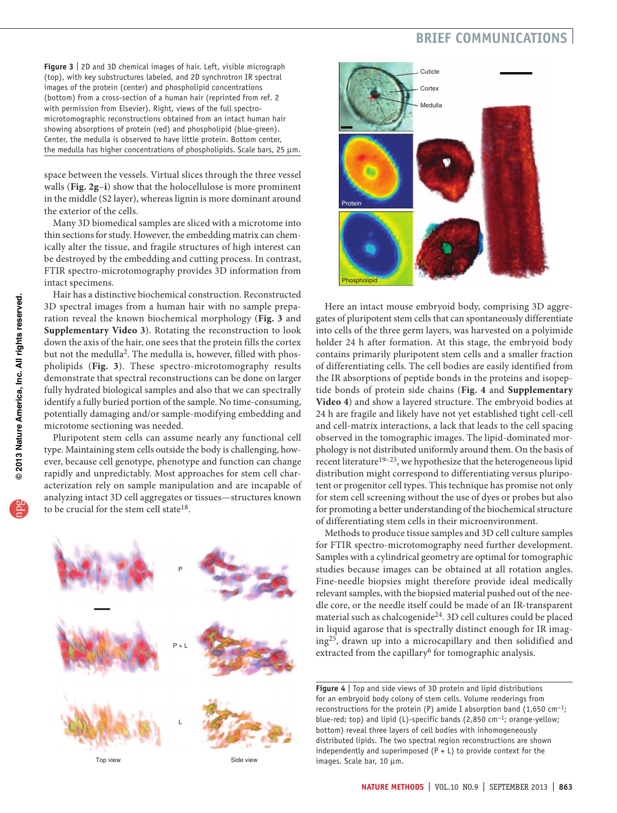# **brief communications**

<span id="page-2-0"></span>**Figure 3** | 2D and 3D chemical images of hair. Left, visible micrograph (top), with key substructures labeled, and 2D synchrotron IR spectral images of the protein (center) and phospholipid concentrations (bottom) from a cross-section of a human hair (reprinted from ref. [2](#page-3-10) with permission from Elsevier). Right, views of the full spectromicrotomographic reconstructions obtained from an intact human hair showing absorptions of protein (red) and phospholipid (blue-green). Center, the medulla is observed to have little protein. Bottom center, the medulla has higher concentrations of phospholipids. Scale bars, 25 µm.

space between the vessels. Virtual slices through the three vessel walls (**[Fig. 2g](#page-1-1)**–**i**) show that the holocellulose is more prominent in the middle (S2 layer), whereas lignin is more dominant around the exterior of the cells.

Many 3D biomedical samples are sliced with a microtome into thin sections for study. However, the embedding matrix can chemically alter the tissue, and fragile structures of high interest can be destroyed by the embedding and cutting process. In contrast, FTIR spectro-microtomography provides 3D information from intact specimens.

Hair has a distinctive biochemical construction. Reconstructed 3D spectral images from a human hair with no sample preparation reveal the known biochemical morphology (**[Fig. 3](#page-2-0)** and **Supplementary Video 3**). Rotating the reconstruction to look down the axis of the hair, one sees that the protein fills the cortex but not the medulla<sup>2</sup>. The medulla is, however, filled with phospholipids (**[Fig. 3](#page-2-0)**). These spectro-microtomography results demonstrate that spectral reconstructions can be done on larger fully hydrated biological samples and also that we can spectrally identify a fully buried portion of the sample. No time-consuming, potentially damaging and/or sample-modifying embedding and microtome sectioning was needed.

Pluripotent stem cells can assume nearly any functional cell type. Maintaining stem cells outside the body is challenging, however, because cell genotype, phenotype and function can change rapidly and unpredictably. Most approaches for stem cell characterization rely on sample manipulation and are incapable of analyzing intact 3D cell aggregates or tissues—structures known to be crucial for the stem cell state<sup>[18](#page-3-17)</sup>.



Top view Side view



Here an intact mouse embryoid body, comprising 3D aggregates of pluripotent stem cells that can spontaneously differentiate into cells of the three germ layers, was harvested on a polyimide holder 24 h after formation. At this stage, the embryoid body contains primarily pluripotent stem cells and a smaller fraction of differentiating cells. The cell bodies are easily identified from the IR absorptions of peptide bonds in the proteins and isopeptide bonds of protein side chains (**[Fig. 4](#page-2-1)** and **Supplementary Video 4**) and show a layered structure. The embryoid bodies at 24 h are fragile and likely have not yet established tight cell-cell and cell-matrix interactions, a lack that leads to the cell spacing observed in the tomographic images. The lipid-dominated morphology is not distributed uniformly around them. On the basis of recent literature<sup>[19–](#page-3-18)[23](#page-3-19)</sup>, we hypothesize that the heterogeneous lipid distribution might correspond to differentiating versus pluripotent or progenitor cell types. This technique has promise not only for stem cell screening without the use of dyes or probes but also for promoting a better understanding of the biochemical structure of differentiating stem cells in their microenvironment.

Methods to produce tissue samples and 3D cell culture samples for FTIR spectro-microtomography need further development. Samples with a cylindrical geometry are optimal for tomographic studies because images can be obtained at all rotation angles. Fine-needle biopsies might therefore provide ideal medically relevant samples, with the biopsied material pushed out of the needle core, or the needle itself could be made of an IR-transparent material such as chalcogenide[24.](#page-3-20) 3D cell cultures could be placed in liquid agarose that is spectrally distinct enough for IR imaging[25,](#page-3-21) drawn up into a microcapillary and then solidified and extracted from the capillary<sup>[6](#page-3-0)</sup> for tomographic analysis.

<span id="page-2-1"></span>**Figure 4** | Top and side views of 3D protein and lipid distributions for an embryoid body colony of stem cells. Volume renderings from reconstructions for the protein (P) amide I absorption band (1,650 cm−1; blue-red; top) and lipid (L)-specific bands (2,850 cm−1; orange-yellow; bottom) reveal three layers of cell bodies with inhomogeneously distributed lipids. The two spectral region reconstructions are shown independently and superimposed  $(P + L)$  to provide context for the images. Scale bar, 10 µm.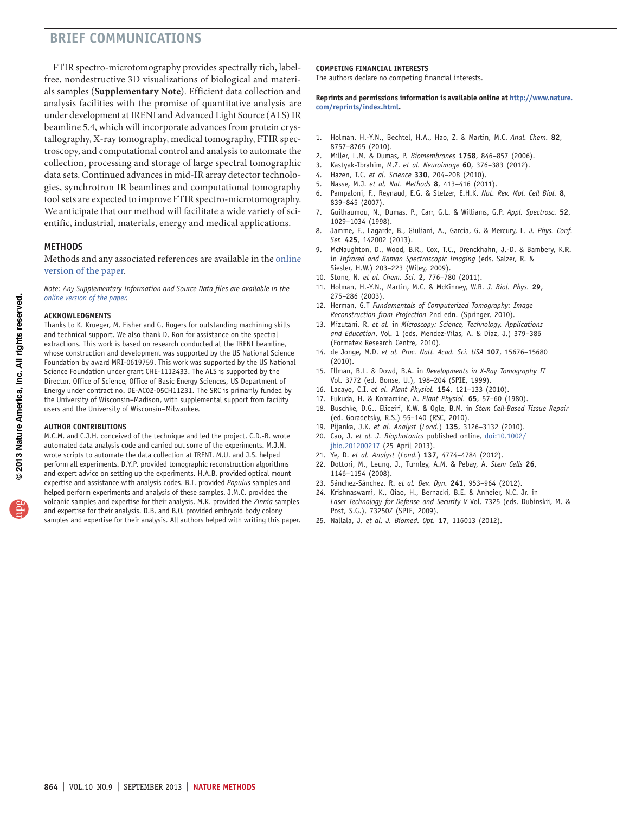# **brief communications**

FTIR spectro-microtomography provides spectrally rich, labelfree, nondestructive 3D visualizations of biological and materials samples (**Supplementary Note**). Efficient data collection and analysis facilities with the promise of quantitative analysis are under development at IRENI and Advanced Light Source (ALS) IR beamline 5.4, which will incorporate advances from protein crystallography, X-ray tomography, medical tomography, FTIR spectroscopy, and computational control and analysis to automate the collection, processing and storage of large spectral tomographic data sets. Continued advances in mid-IR array detector technologies, synchrotron IR beamlines and computational tomography tool sets are expected to improve FTIR spectro-microtomography. We anticipate that our method will facilitate a wide variety of scientific, industrial, materials, energy and medical applications.

## **Methods**

Methods and any associated references are available in the [online](http://www.nature.com/doifinder/10.1038/nmeth.2596) [version](http://www.nature.com/doifinder/10.1038/nmeth.2596) of the paper.

*Note: Any Supplementary Information and Source Data files are available in the online [version](http://www.nature.com/doifinder/10.1038/nmeth.2596) of the paper.*

#### **Acknowledgments**

Thanks to K. Krueger, M. Fisher and G. Rogers for outstanding machining skills and technical support. We also thank D. Ron for assistance on the spectral extractions. This work is based on research conducted at the IRENI beamline, whose construction and development was supported by the US National Science Foundation by award MRI-0619759. This work was supported by the US National Science Foundation under grant CHE-1112433. The ALS is supported by the Director, Office of Science, Office of Basic Energy Sciences, US Department of Energy under contract no. DE-AC02-05CH11231. The SRC is primarily funded by the University of Wisconsin–Madison, with supplemental support from facility users and the University of Wisconsin–Milwaukee.

#### **AUTHOR CONTRIBUTIONS**

M.C.M. and C.J.H. conceived of the technique and led the project. C.D.-B. wrote automated data analysis code and carried out some of the experiments. M.J.N. wrote scripts to automate the data collection at IRENI. M.U. and J.S. helped perform all experiments. D.Y.P. provided tomographic reconstruction algorithms and expert advice on setting up the experiments. H.A.B. provided optical mount expertise and assistance with analysis codes. B.I. provided *Populus* samples and helped perform experiments and analysis of these samples. J.M.C. provided the volcanic samples and expertise for their analysis. M.K. provided the *Zinnia* samples and expertise for their analysis. D.B. and B.O. provided embryoid body colony samples and expertise for their analysis. All authors helped with writing this paper.

### **COMPETING FINANCIAL INTERESTS**

The authors declare no competing financial interests.

**Reprints and permissions information is available online at [http://www.nature.](http://www.nature.com/reprints/index.html) [com/reprints/index.html.](http://www.nature.com/reprints/index.html)**

- <span id="page-3-9"></span>1. Holman, H.-Y.N., Bechtel, H.A., Hao, Z. & Martin, M.C. *Anal. Chem.* **82**, 8757–8765 (2010).
- <span id="page-3-10"></span>2. Miller, L.M. & Dumas, P. *Biomembranes* **1758**, 846–857 (2006).
- <span id="page-3-11"></span>3. Kastyak-Ibrahim, M.Z. *et al. Neuroimage* **60**, 376–383 (2012).
- <span id="page-3-12"></span>4. Hazen, T.C. *et al. Science* **330**, 204–208 (2010).
- <span id="page-3-13"></span>5. Nasse, M.J. *et al. Nat. Methods* **8**, 413–416 (2011).
- <span id="page-3-0"></span>6. Pampaloni, F., Reynaud, E.G. & Stelzer, E.H.K. *Nat. Rev. Mol. Cell Biol.* **8**, 839–845 (2007).
- <span id="page-3-1"></span>7. Guilhaumou, N., Dumas, P., Carr, G.L. & Williams, G.P. *Appl. Spectrosc.* **52**, 1029–1034 (1998).
- <span id="page-3-2"></span>8. Jamme, F., Lagarde, B., Giuliani, A., Garcia, G. & Mercury, L. *J. Phys. Conf. Ser.* **425**, 142002 (2013).
- <span id="page-3-3"></span>9. McNaughton, D., Wood, B.R., Cox, T.C., Drenckhahn, J.-D. & Bambery, K.R. in *Infrared and Raman Spectroscopic Imaging* (eds. Salzer, R. & Siesler, H.W.) 203–223 (Wiley, 2009).
- <span id="page-3-4"></span>10. Stone, N. *et al. Chem. Sci.* **2**, 776–780 (2011).
- <span id="page-3-5"></span>11. Holman, H.-Y.N., Martin, M.C. & McKinney, W.R. *J. Biol. Phys.* **29**, 275–286 (2003).
- <span id="page-3-6"></span>12. Herman, G.T *Fundamentals of Computerized Tomography: Image Reconstruction from Projection* 2nd edn. (Springer, 2010).
- <span id="page-3-7"></span>13. Mizutani, R. *et al.* in *Microscopy: Science, Technology, Applications and Education*. Vol. 1 (eds. Mendez-Vilas, A. & Diaz, J.) 379–386 (Formatex Research Centre, 2010).
- <span id="page-3-8"></span>14. de Jonge, M.D. *et al. Proc. Natl. Acad. Sci. USA* **107**, 15676–15680 (2010).
- <span id="page-3-14"></span>15. Illman, B.L. & Dowd, B.A. in *Developments in X-Ray Tomography II* Vol. 3772 (ed. Bonse, U.), 198–204 (SPIE, 1999).
- <span id="page-3-15"></span>16. Lacayo, C.I. *et al. Plant Physiol.* **154**, 121–133 (2010).
- <span id="page-3-16"></span>17. Fukuda, H. & Komamine, A. *Plant Physiol.* **65**, 57–60 (1980).
- <span id="page-3-17"></span>18. Buschke, D.G., Eliceiri, K.W. & Ogle, B.M. in *Stem Cell-Based Tissue Repair* (ed. Goradetsky, R.S.) 55–140 (RSC, 2010).
- <span id="page-3-18"></span>19. Pijanka, J.K. *et al. Analyst* (*Lond.*) **135**, 3126–3132 (2010).
- 20. Cao, J. *et al. J. Biophotonics* published online, [doi:10.1002/](http://dx.doi.org/10.1002/jbio.201200217) [jbio.201200217](http://dx.doi.org/10.1002/jbio.201200217) (25 April 2013).
- 21. Ye, D. *et al. Analyst* (*Lond.*) **137**, 4774–4784 (2012).
- 22. Dottori, M., Leung, J., Turnley, A.M. & Pebay, A. *Stem Cells* **26**, 1146–1154 (2008).
- <span id="page-3-19"></span>23. Sánchez-Sánchez, R. *et al. Dev. Dyn.* **241**, 953–964 (2012).
- <span id="page-3-20"></span>24. Krishnaswami, K., Qiao, H., Bernacki, B.E. & Anheier, N.C. Jr. in *Laser Technology for Defense and Security V* Vol. 7325 (eds. Dubinskii, M. & Post, S.G.), 73250Z (SPIE, 2009).
- <span id="page-3-21"></span>25. Nallala, J. *et al. J. Biomed. Opt.* **17**, 116013 (2012).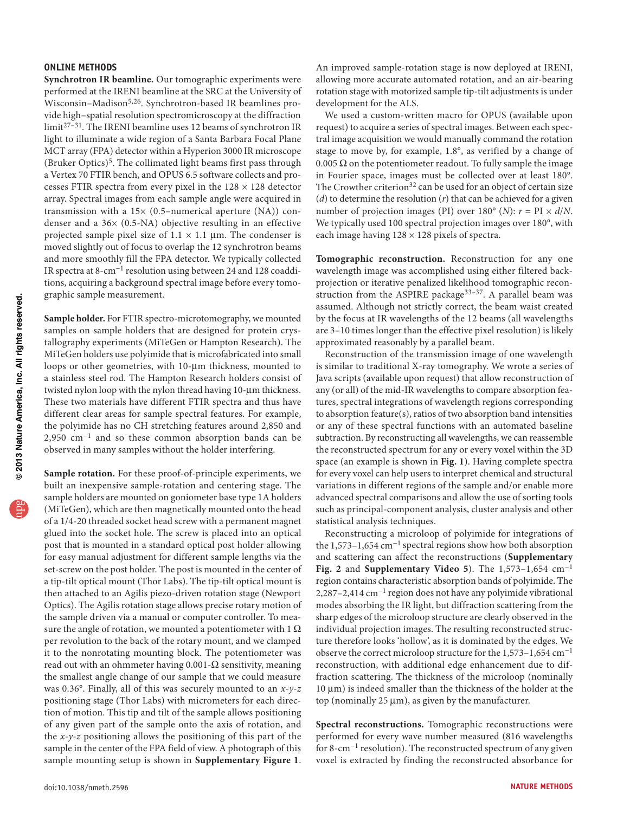## **ONLINE METHODS**

**Synchrotron IR beamline.** Our tomographic experiments were performed at the IRENI beamline at the SRC at the University of Wisconsin-Madison<sup>[5,](#page-3-13)26</sup>. Synchrotron-based IR beamlines provide high–spatial resolution spectromicroscopy at the diffraction limit[27–](#page-5-1)[31.](#page-5-2) The IRENI beamline uses 12 beams of synchrotron IR light to illuminate a wide region of a Santa Barbara Focal Plane MCT array (FPA) detector within a Hyperion 3000 IR microscope (Bruker Optics)<sup>[5](#page-3-13)</sup>. The collimated light beams first pass through a Vertex 70 FTIR bench, and OPUS 6.5 software collects and processes FTIR spectra from every pixel in the  $128 \times 128$  detector array. Spectral images from each sample angle were acquired in transmission with a  $15\times$  (0.5–numerical aperture (NA)) condenser and a 36× (0.5-NA) objective resulting in an effective projected sample pixel size of  $1.1 \times 1.1$  µm. The condenser is moved slightly out of focus to overlap the 12 synchrotron beams and more smoothly fill the FPA detector. We typically collected IR spectra at 8-cm−1 resolution using between 24 and 128 coadditions, acquiring a background spectral image before every tomographic sample measurement.

**Sample holder.** For FTIR spectro-microtomography, we mounted samples on sample holders that are designed for protein crystallography experiments (MiTeGen or Hampton Research). The MiTeGen holders use polyimide that is microfabricated into small loops or other geometries, with 10-µm thickness, mounted to a stainless steel rod. The Hampton Research holders consist of twisted nylon loop with the nylon thread having 10-µm thickness. These two materials have different FTIR spectra and thus have different clear areas for sample spectral features. For example, the polyimide has no CH stretching features around 2,850 and 2,950 cm−1 and so these common absorption bands can be observed in many samples without the holder interfering.

**Sample rotation.** For these proof-of-principle experiments, we built an inexpensive sample-rotation and centering stage. The sample holders are mounted on goniometer base type 1A holders (MiTeGen), which are then magnetically mounted onto the head of a 1/4-20 threaded socket head screw with a permanent magnet glued into the socket hole. The screw is placed into an optical post that is mounted in a standard optical post holder allowing for easy manual adjustment for different sample lengths via the set-screw on the post holder. The post is mounted in the center of a tip-tilt optical mount (Thor Labs). The tip-tilt optical mount is then attached to an Agilis piezo-driven rotation stage (Newport Optics). The Agilis rotation stage allows precise rotary motion of the sample driven via a manual or computer controller. To measure the angle of rotation, we mounted a potentiometer with  $1 \Omega$ per revolution to the back of the rotary mount, and we clamped it to the nonrotating mounting block. The potentiometer was read out with an ohmmeter having  $0.001$ - $\Omega$  sensitivity, meaning the smallest angle change of our sample that we could measure was 0.36°. Finally, all of this was securely mounted to an *x-y-z* positioning stage (Thor Labs) with micrometers for each direction of motion. This tip and tilt of the sample allows positioning of any given part of the sample onto the axis of rotation, and the *x-y-z* positioning allows the positioning of this part of the sample in the center of the FPA field of view. A photograph of this sample mounting setup is shown in **Supplementary Figure 1**. An improved sample-rotation stage is now deployed at IRENI, allowing more accurate automated rotation, and an air-bearing rotation stage with motorized sample tip-tilt adjustments is under development for the ALS.

We used a custom-written macro for OPUS (available upon request) to acquire a series of spectral images. Between each spectral image acquisition we would manually command the rotation stage to move by, for example, 1.8°, as verified by a change of 0.005  $\Omega$  on the potentiometer readout. To fully sample the image in Fourier space, images must be collected over at least 180°. The Crowther criterion<sup>32</sup> can be used for an object of certain size (*d*) to determine the resolution (*r*) that can be achieved for a given number of projection images (PI) over  $180^\circ$  (*N*):  $r = \text{PI} \times d/N$ . We typically used 100 spectral projection images over 180°, with each image having  $128 \times 128$  pixels of spectra.

**Tomographic reconstruction.** Reconstruction for any one wavelength image was accomplished using either filtered backprojection or iterative penalized likelihood tomographic recon-struction from the ASPIRE package<sup>33-[37](#page-5-5)</sup>. A parallel beam was assumed. Although not strictly correct, the beam waist created by the focus at IR wavelengths of the 12 beams (all wavelengths are 3–10 times longer than the effective pixel resolution) is likely approximated reasonably by a parallel beam.

Reconstruction of the transmission image of one wavelength is similar to traditional X-ray tomography. We wrote a series of Java scripts (available upon request) that allow reconstruction of any (or all) of the mid-IR wavelengths to compare absorption features, spectral integrations of wavelength regions corresponding to absorption feature(s), ratios of two absorption band intensities or any of these spectral functions with an automated baseline subtraction. By reconstructing all wavelengths, we can reassemble the reconstructed spectrum for any or every voxel within the 3D space (an example is shown in **[Fig. 1](#page-1-0)**). Having complete spectra for every voxel can help users to interpret chemical and structural variations in different regions of the sample and/or enable more advanced spectral comparisons and allow the use of sorting tools such as principal-component analysis, cluster analysis and other statistical analysis techniques.

Reconstructing a microloop of polyimide for integrations of the 1,573–1,654 cm−1 spectral regions show how both absorption and scattering can affect the reconstructions (**Supplementary Fig. 2** and **Supplementary Video 5**). The 1,573–1,654 cm−1 region contains characteristic absorption bands of polyimide. The 2,287–2,414 cm−1 region does not have any polyimide vibrational modes absorbing the IR light, but diffraction scattering from the sharp edges of the microloop structure are clearly observed in the individual projection images. The resulting reconstructed structure therefore looks 'hollow', as it is dominated by the edges. We observe the correct microloop structure for the 1,573–1,654 cm−1 reconstruction, with additional edge enhancement due to diffraction scattering. The thickness of the microloop (nominally 10 µm) is indeed smaller than the thickness of the holder at the top (nominally  $25 \mu m$ ), as given by the manufacturer.

**Spectral reconstructions.** Tomographic reconstructions were performed for every wave number measured (816 wavelengths for 8-cm−1 resolution). The reconstructed spectrum of any given voxel is extracted by finding the reconstructed absorbance for